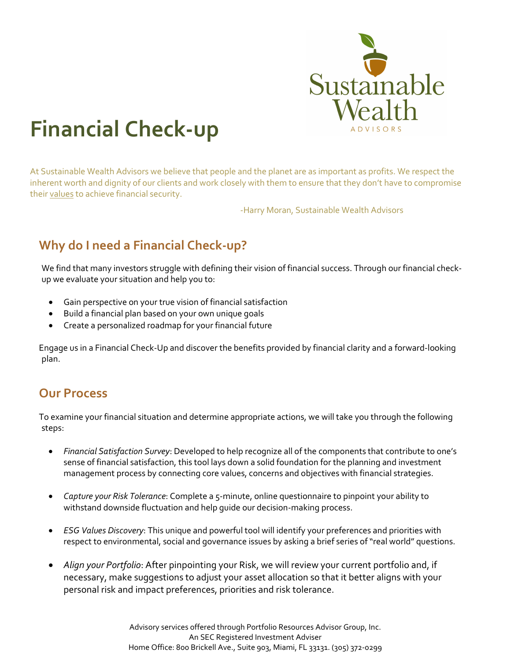

# **Financial Check-up**

At Sustainable Wealth Advisors we believe that people and the planet are as important as profits. We respect the inherent worth and dignity of our clients and work closely with them to ensure that they don't have to compromise their values to achieve financial security.

-Harry Moran, Sustainable Wealth Advisors

### **Why do I need a Financial Check-up?**

We find that many investors struggle with defining their vision of financial success. Through our financial checkup we evaluate your situation and help you to:

- Gain perspective on your true vision of financial satisfaction
- Build a financial plan based on your own unique goals
- Create a personalized roadmap for your financial future

 Engage us in a Financial Check-Up and discover the benefits provided by financial clarity and a forward-looking plan.

#### **Our Process**

 To examine your financial situation and determine appropriate actions, we will take you through the following steps:

- *Financial Satisfaction Survey*: Developed to help recognize all of the components that contribute to one's sense of financial satisfaction, this tool lays down a solid foundation for the planning and investment management process by connecting core values, concerns and objectives with financial strategies.
- *Capture your Risk Tolerance*: Complete a 5-minute, online questionnaire to pinpoint your ability to withstand downside fluctuation and help guide our decision-making process.
- *ESG Values Discovery*: This unique and powerful tool will identify your preferences and priorities with respect to environmental, social and governance issues by asking a brief series of "real world" questions.
- *Align your Portfolio*: After pinpointing your Risk, we will review your current portfolio and, if necessary, make suggestions to adjust your asset allocation so that it better aligns with your personal risk and impact preferences, priorities and risk tolerance.